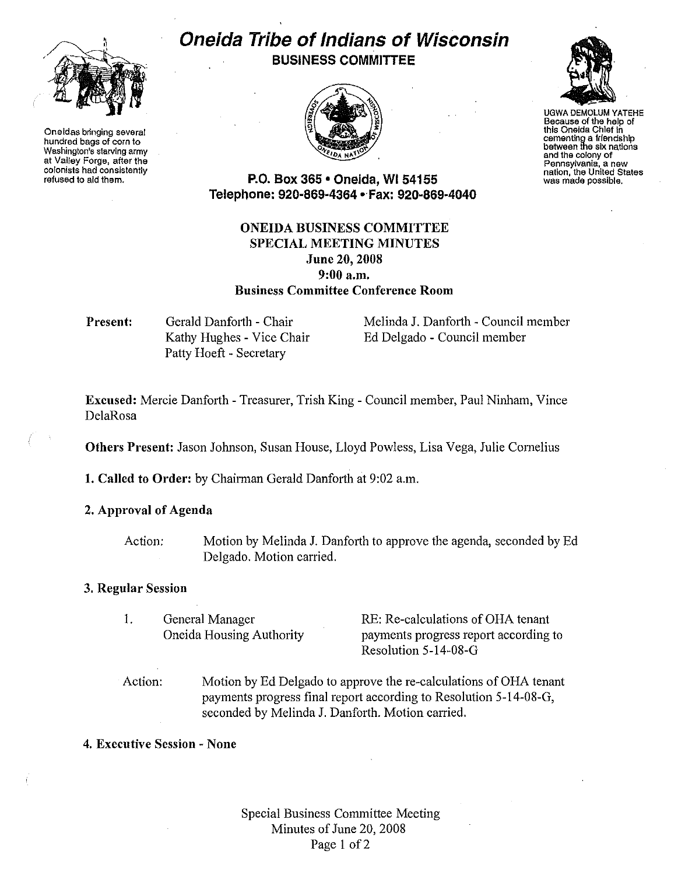

Oneidas bringing several hundred bags of corn to Washington's starving army at Valley Forge, after the colonists had consisten11y refused to aid them.

## Oneida Tribe of Indians of Wisconsin BUSINESS COMMITTEE



UGWA DEMOLUM YATEHE Because of the help of this Oneida Chief in cementing a friendship between the six nations and the colony of<br>Pennsylvania, a new nation, the United States was made possible.

P.O. Box 365 • Oneida, WI 54155 Telephone: 920-869-4364 • Fax: 920-869-4040

## ONEIDA BUSINESS COMMITTEE SPECIAL MEETING MINUTES June 20, 2008 9:00a.m. Business Committee Conference Room

Present: Gerald Danforth - Chair Kathy Hughes - Vice Chair Patty Hoeft - Secretary

Melinda J. Danforth - Council member Ed Delgado - Council member

Excused: Mercie Danforth- Treasurer, Trish King- Council member, Paul Ninham, Vince DelaRosa

Others Present: Jason Johnson, Susan House, Lloyd Powless, Lisa Vega, Julie Cornelius

1. Called to Order: by Chairman Gerald Danforth at 9:02 a.m.

2. Approval of Agenda

Action: Motion by Melinda J. Danforth to approve the agenda, seconded by Ed Delgado. Motion carried.

## 3. Regular Session

I. General Manager Oneida Housing Authority

RE: Re-calculations of OHA tenant payments progress report according to Resolution 5-14-08-G

- Action: Motion by Ed Delgado to approve the re-calculations of OHA tenant payments progress final report according to Resolution 5-14-08-G, seconded by Melinda J. Danforth. Motion carried.
- 4. Executive Session None

Special Business Committee Meeting Minutes of June 20, 2008 Page 1 of 2